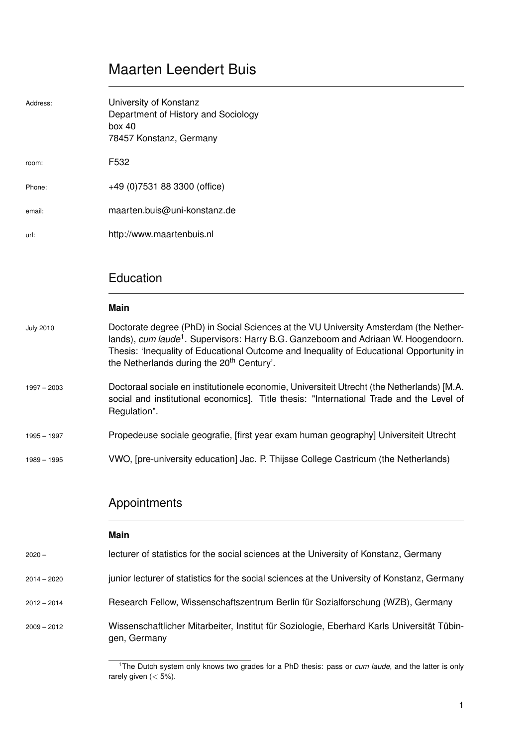# Maarten Leendert Buis

| Address:         | University of Konstanz<br>Department of History and Sociology<br>box 40<br>78457 Konstanz, Germany                                                                                                                                                                                                                                          |
|------------------|---------------------------------------------------------------------------------------------------------------------------------------------------------------------------------------------------------------------------------------------------------------------------------------------------------------------------------------------|
| room:            | F532                                                                                                                                                                                                                                                                                                                                        |
| Phone:           | +49 (0)7531 88 3300 (office)                                                                                                                                                                                                                                                                                                                |
| email:           | maarten.buis@uni-konstanz.de                                                                                                                                                                                                                                                                                                                |
| url:             | http://www.maartenbuis.nl                                                                                                                                                                                                                                                                                                                   |
|                  | Education<br><b>Main</b>                                                                                                                                                                                                                                                                                                                    |
| <b>July 2010</b> | Doctorate degree (PhD) in Social Sciences at the VU University Amsterdam (the Nether-<br>lands), cum laude <sup>1</sup> . Supervisors: Harry B.G. Ganzeboom and Adriaan W. Hoogendoorn.<br>Thesis: 'Inequality of Educational Outcome and Inequality of Educational Opportunity in<br>the Netherlands during the 20 <sup>th</sup> Century'. |
| $1997 - 2003$    | Doctoraal sociale en institutionele economie, Universiteit Utrecht (the Netherlands) [M.A.<br>social and institutional economics]. Title thesis: "International Trade and the Level of<br>Regulation".                                                                                                                                      |
| $1995 - 1997$    | Propedeuse sociale geografie, [first year exam human geography] Universiteit Utrecht                                                                                                                                                                                                                                                        |
| $1989 - 1995$    | VWO, [pre-university education] Jac. P. Thijsse College Castricum (the Netherlands)                                                                                                                                                                                                                                                         |

# Appointments

|               | Main                                                                                                       |
|---------------|------------------------------------------------------------------------------------------------------------|
| $2020 -$      | lecturer of statistics for the social sciences at the University of Konstanz, Germany                      |
| $2014 - 2020$ | junior lecturer of statistics for the social sciences at the University of Konstanz, Germany               |
| $2012 - 2014$ | Research Fellow, Wissenschaftszentrum Berlin für Sozialforschung (WZB), Germany                            |
| $2009 - 2012$ | Wissenschaftlicher Mitarbeiter, Institut für Soziologie, Eberhard Karls Universität Tübin-<br>gen, Germany |

<sup>1</sup>The Dutch system only knows two grades for a PhD thesis: pass or *cum laude*, and the latter is only rarely given (< 5%).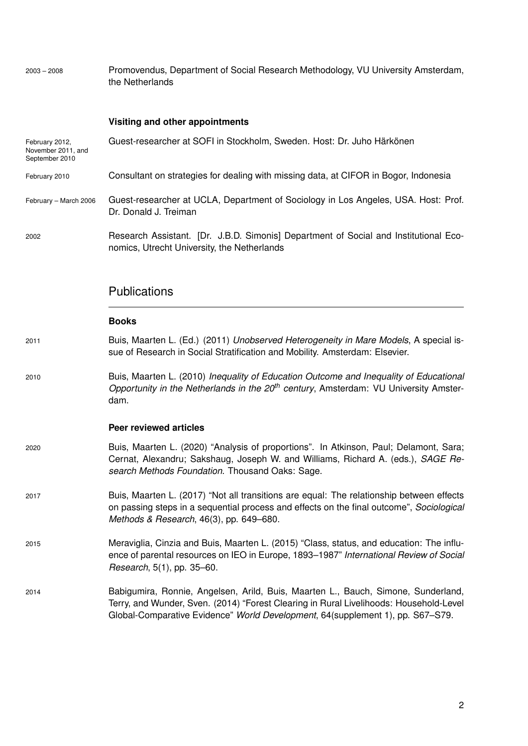2003 – 2008 Promovendus, Department of Social Research Methodology, VU University Amsterdam, the Netherlands

## **Visiting and other appointments**

| February 2012,<br>November 2011, and<br>September 2010 | Guest-researcher at SOFI in Stockholm, Sweden. Host: Dr. Juho Härkönen                                                                                                                                                                                        |
|--------------------------------------------------------|---------------------------------------------------------------------------------------------------------------------------------------------------------------------------------------------------------------------------------------------------------------|
| February 2010                                          | Consultant on strategies for dealing with missing data, at CIFOR in Bogor, Indonesia                                                                                                                                                                          |
| February - March 2006                                  | Guest-researcher at UCLA, Department of Sociology in Los Angeles, USA. Host: Prof.<br>Dr. Donald J. Treiman                                                                                                                                                   |
| 2002                                                   | Research Assistant. [Dr. J.B.D. Simonis] Department of Social and Institutional Eco-<br>nomics, Utrecht University, the Netherlands                                                                                                                           |
|                                                        | <b>Publications</b>                                                                                                                                                                                                                                           |
|                                                        | <b>Books</b>                                                                                                                                                                                                                                                  |
| 2011                                                   | Buis, Maarten L. (Ed.) (2011) Unobserved Heterogeneity in Mare Models, A special is-<br>sue of Research in Social Stratification and Mobility. Amsterdam: Elsevier.                                                                                           |
| 2010                                                   | Buis, Maarten L. (2010) Inequality of Education Outcome and Inequality of Educational<br>Opportunity in the Netherlands in the 20 <sup>th</sup> century, Amsterdam: VU University Amster-<br>dam.                                                             |
|                                                        | <b>Peer reviewed articles</b>                                                                                                                                                                                                                                 |
| 2020                                                   | Buis, Maarten L. (2020) "Analysis of proportions". In Atkinson, Paul; Delamont, Sara;<br>Cernat, Alexandru; Sakshaug, Joseph W. and Williams, Richard A. (eds.), SAGE Re-<br>search Methods Foundation. Thousand Oaks: Sage.                                  |
| 2017                                                   | Buis, Maarten L. (2017) "Not all transitions are equal: The relationship between effects<br>on passing steps in a sequential process and effects on the final outcome", Sociological<br>Methods & Research, 46(3), pp. 649-680.                               |
| 2015                                                   | Meraviglia, Cinzia and Buis, Maarten L. (2015) "Class, status, and education: The influ-<br>ence of parental resources on IEO in Europe, 1893-1987" International Review of Social<br>Research, 5(1), pp. 35-60.                                              |
| 2014                                                   | Babigumira, Ronnie, Angelsen, Arild, Buis, Maarten L., Bauch, Simone, Sunderland,<br>Terry, and Wunder, Sven. (2014) "Forest Clearing in Rural Livelihoods: Household-Level<br>Global-Comparative Evidence" World Development, 64(supplement 1), pp. S67-S79. |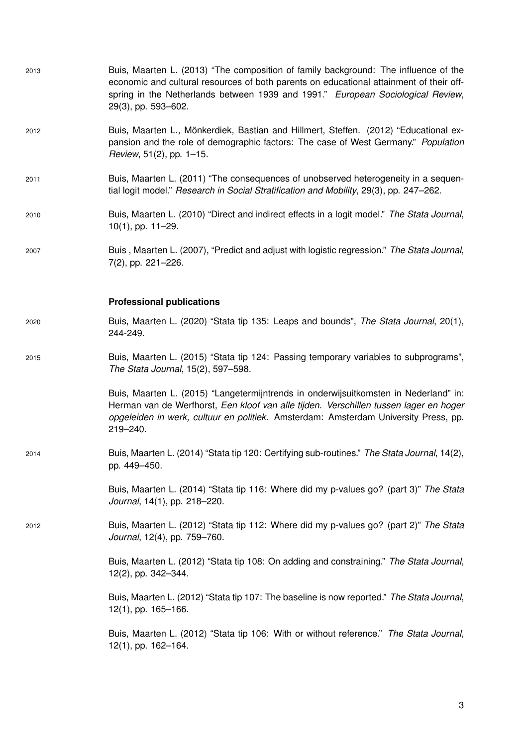| 2013 | Buis, Maarten L. (2013) "The composition of family background: The influence of the<br>economic and cultural resources of both parents on educational attainment of their off-<br>spring in the Netherlands between 1939 and 1991." European Sociological Review,<br>29(3), pp. 593-602. |
|------|------------------------------------------------------------------------------------------------------------------------------------------------------------------------------------------------------------------------------------------------------------------------------------------|
| 2012 | Buis, Maarten L., Mönkerdiek, Bastian and Hillmert, Steffen. (2012) "Educational ex-<br>pansion and the role of demographic factors: The case of West Germany." Population<br>Review, 51(2), pp. 1-15.                                                                                   |
| 2011 | Buis, Maarten L. (2011) "The consequences of unobserved heterogeneity in a sequen-<br>tial logit model." Research in Social Stratification and Mobility, 29(3), pp. 247–262.                                                                                                             |
| 2010 | Buis, Maarten L. (2010) "Direct and indirect effects in a logit model." The Stata Journal,<br>$10(1)$ , pp. $11-29$ .                                                                                                                                                                    |
| 2007 | Buis, Maarten L. (2007), "Predict and adjust with logistic regression." The Stata Journal,<br>7(2), pp. 221-226.                                                                                                                                                                         |
|      | <b>Professional publications</b>                                                                                                                                                                                                                                                         |
| 2020 | Buis, Maarten L. (2020) "Stata tip 135: Leaps and bounds", The Stata Journal, 20(1),<br>244-249.                                                                                                                                                                                         |
| 2015 | Buis, Maarten L. (2015) "Stata tip 124: Passing temporary variables to subprograms",<br>The Stata Journal, 15(2), 597-598.                                                                                                                                                               |
|      | Buis, Maarten L. (2015) "Langetermijntrends in onderwijsuitkomsten in Nederland" in:<br>Herman van de Werfhorst, Een kloof van alle tijden. Verschillen tussen lager en hoger<br>opgeleiden in werk, cultuur en politiek. Amsterdam: Amsterdam University Press, pp.<br>219-240.         |
| 2014 | Buis, Maarten L. (2014) "Stata tip 120: Certifying sub-routines." The Stata Journal, 14(2),<br>pp. 449-450.                                                                                                                                                                              |
|      | Buis, Maarten L. (2014) "Stata tip 116: Where did my p-values go? (part 3)" The Stata<br>Journal, 14(1), pp. 218-220.                                                                                                                                                                    |
| 2012 | Buis, Maarten L. (2012) "Stata tip 112: Where did my p-values go? (part 2)" The Stata<br>Journal, 12(4), pp. 759-760.                                                                                                                                                                    |
|      | Buis, Maarten L. (2012) "Stata tip 108: On adding and constraining." The Stata Journal,<br>12(2), pp. 342-344.                                                                                                                                                                           |
|      | Buis, Maarten L. (2012) "Stata tip 107: The baseline is now reported." The Stata Journal,<br>$12(1)$ , pp. 165-166.                                                                                                                                                                      |
|      | Buis, Maarten L. (2012) "Stata tip 106: With or without reference." The Stata Journal,<br>12(1), pp. 162-164.                                                                                                                                                                            |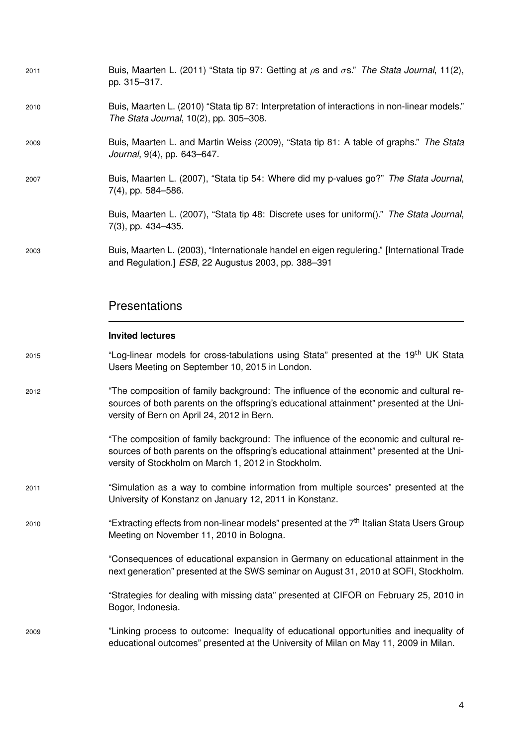| 2011 | Buis, Maarten L. (2011) "Stata tip 97: Getting at $\rho s$ and $\sigma s$ ." The Stata Journal, 11(2),<br>pp. 315-317.                                                                                                                   |
|------|------------------------------------------------------------------------------------------------------------------------------------------------------------------------------------------------------------------------------------------|
| 2010 | Buis, Maarten L. (2010) "Stata tip 87: Interpretation of interactions in non-linear models."<br>The Stata Journal, 10(2), pp. 305-308.                                                                                                   |
| 2009 | Buis, Maarten L. and Martin Weiss (2009), "Stata tip 81: A table of graphs." The Stata<br>Journal, 9(4), pp. 643-647.                                                                                                                    |
| 2007 | Buis, Maarten L. (2007), "Stata tip 54: Where did my p-values go?" The Stata Journal,<br>7(4), pp. 584-586.                                                                                                                              |
|      | Buis, Maarten L. (2007), "Stata tip 48: Discrete uses for uniform()." The Stata Journal,<br>7(3), pp. 434-435.                                                                                                                           |
| 2003 | Buis, Maarten L. (2003), "Internationale handel en eigen regulering." [International Trade<br>and Regulation.] ESB, 22 Augustus 2003, pp. 388-391                                                                                        |
|      | Presentations                                                                                                                                                                                                                            |
|      | <b>Invited lectures</b>                                                                                                                                                                                                                  |
| 2015 | "Log-linear models for cross-tabulations using Stata" presented at the 19 <sup>th</sup> UK Stata<br>Users Meeting on September 10, 2015 in London.                                                                                       |
| 2012 | "The composition of family background: The influence of the economic and cultural re-<br>sources of both parents on the offspring's educational attainment" presented at the Uni-<br>versity of Bern on April 24, 2012 in Bern.          |
|      | "The composition of family background: The influence of the economic and cultural re-<br>sources of both parents on the offspring's educational attainment" presented at the Uni-<br>versity of Stockholm on March 1, 2012 in Stockholm. |
| 2011 | "Simulation as a way to combine information from multiple sources" presented at the<br>University of Konstanz on January 12, 2011 in Konstanz.                                                                                           |
| 2010 | "Extracting effects from non-linear models" presented at the 7 <sup>th</sup> Italian Stata Users Group<br>Meeting on November 11, 2010 in Bologna.                                                                                       |
|      | "Consequences of educational expansion in Germany on educational attainment in the<br>next generation" presented at the SWS seminar on August 31, 2010 at SOFI, Stockholm.                                                               |
|      | "Strategies for dealing with missing data" presented at CIFOR on February 25, 2010 in<br>Bogor, Indonesia.                                                                                                                               |
| 2009 | "Linking process to outcome: Inequality of educational opportunities and inequality of<br>educational outcomes" presented at the University of Milan on May 11, 2009 in Milan.                                                           |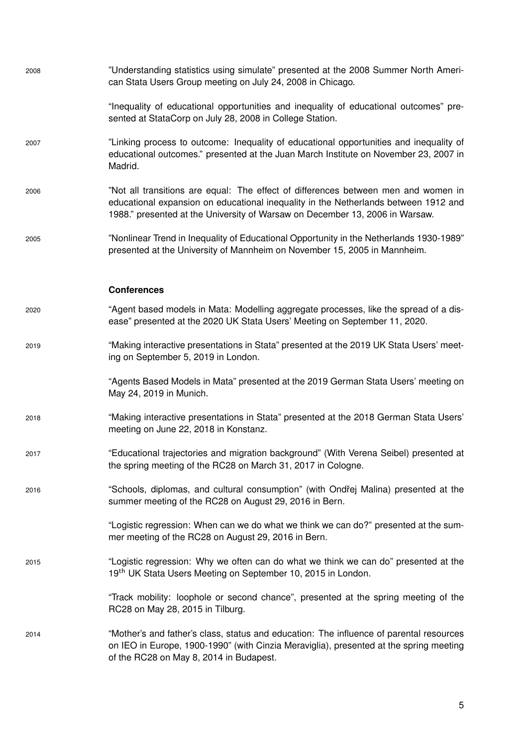| 2008 | "Understanding statistics using simulate" presented at the 2008 Summer North Ameri-<br>can Stata Users Group meeting on July 24, 2008 in Chicago.                                                                                                         |
|------|-----------------------------------------------------------------------------------------------------------------------------------------------------------------------------------------------------------------------------------------------------------|
|      | "Inequality of educational opportunities and inequality of educational outcomes" pre-<br>sented at StataCorp on July 28, 2008 in College Station.                                                                                                         |
| 2007 | "Linking process to outcome: Inequality of educational opportunities and inequality of<br>educational outcomes." presented at the Juan March Institute on November 23, 2007 in<br>Madrid.                                                                 |
| 2006 | "Not all transitions are equal: The effect of differences between men and women in<br>educational expansion on educational inequality in the Netherlands between 1912 and<br>1988." presented at the University of Warsaw on December 13, 2006 in Warsaw. |
| 2005 | "Nonlinear Trend in Inequality of Educational Opportunity in the Netherlands 1930-1989"<br>presented at the University of Mannheim on November 15, 2005 in Mannheim.                                                                                      |
|      | <b>Conferences</b>                                                                                                                                                                                                                                        |
| 2020 | "Agent based models in Mata: Modelling aggregate processes, like the spread of a dis-<br>ease" presented at the 2020 UK Stata Users' Meeting on September 11, 2020.                                                                                       |
| 2019 | "Making interactive presentations in Stata" presented at the 2019 UK Stata Users' meet-<br>ing on September 5, 2019 in London.                                                                                                                            |
|      | "Agents Based Models in Mata" presented at the 2019 German Stata Users' meeting on<br>May 24, 2019 in Munich.                                                                                                                                             |
| 2018 | "Making interactive presentations in Stata" presented at the 2018 German Stata Users'<br>meeting on June 22, 2018 in Konstanz.                                                                                                                            |
| 2017 | "Educational trajectories and migration background" (With Verena Seibel) presented at<br>the spring meeting of the RC28 on March 31, 2017 in Cologne.                                                                                                     |
| 2016 | "Schools, diplomas, and cultural consumption" (with Ondřej Malina) presented at the<br>summer meeting of the RC28 on August 29, 2016 in Bern.                                                                                                             |
|      | "Logistic regression: When can we do what we think we can do?" presented at the sum-<br>mer meeting of the RC28 on August 29, 2016 in Bern.                                                                                                               |
| 2015 | "Logistic regression: Why we often can do what we think we can do" presented at the<br>19 <sup>th</sup> UK Stata Users Meeting on September 10, 2015 in London.                                                                                           |
|      | "Track mobility: loophole or second chance", presented at the spring meeting of the<br>RC28 on May 28, 2015 in Tilburg.                                                                                                                                   |
| 2014 | "Mother's and father's class, status and education: The influence of parental resources<br>on IEO in Europe, 1900-1990" (with Cinzia Meraviglia), presented at the spring meeting<br>of the RC28 on May 8, 2014 in Budapest.                              |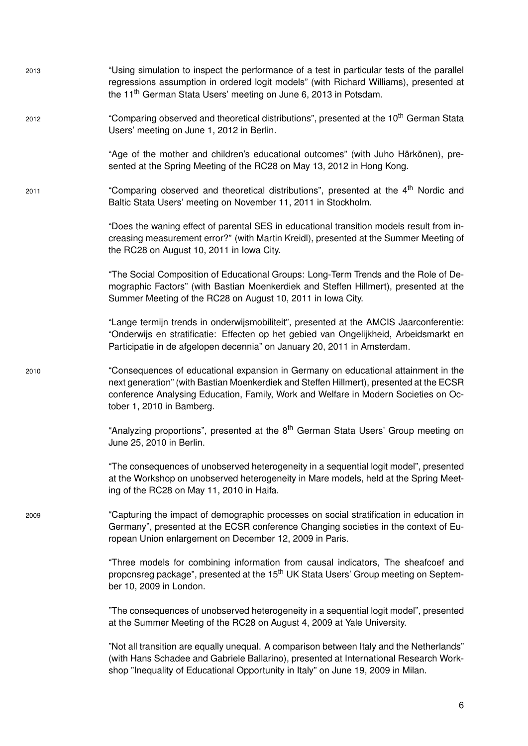| 2013 | "Using simulation to inspect the performance of a test in particular tests of the parallel<br>regressions assumption in ordered logit models" (with Richard Williams), presented at<br>the 11 <sup>th</sup> German Stata Users' meeting on June 6, 2013 in Potsdam.                               |
|------|---------------------------------------------------------------------------------------------------------------------------------------------------------------------------------------------------------------------------------------------------------------------------------------------------|
| 2012 | "Comparing observed and theoretical distributions", presented at the 10 <sup>th</sup> German Stata<br>Users' meeting on June 1, 2012 in Berlin.                                                                                                                                                   |
|      | "Age of the mother and children's educational outcomes" (with Juho Härkönen), pre-<br>sented at the Spring Meeting of the RC28 on May 13, 2012 in Hong Kong.                                                                                                                                      |
| 2011 | "Comparing observed and theoretical distributions", presented at the 4 <sup>th</sup> Nordic and<br>Baltic Stata Users' meeting on November 11, 2011 in Stockholm.                                                                                                                                 |
|      | "Does the waning effect of parental SES in educational transition models result from in-<br>creasing measurement error?" (with Martin Kreidl), presented at the Summer Meeting of<br>the RC28 on August 10, 2011 in Iowa City.                                                                    |
|      | "The Social Composition of Educational Groups: Long-Term Trends and the Role of De-<br>mographic Factors" (with Bastian Moenkerdiek and Steffen Hillmert), presented at the<br>Summer Meeting of the RC28 on August 10, 2011 in Iowa City.                                                        |
|      | "Lange termijn trends in onderwijsmobiliteit", presented at the AMCIS Jaarconferentie:<br>"Onderwijs en stratificatie: Effecten op het gebied van Ongelijkheid, Arbeidsmarkt en<br>Participatie in de afgelopen decennia" on January 20, 2011 in Amsterdam.                                       |
| 2010 | "Consequences of educational expansion in Germany on educational attainment in the<br>next generation" (with Bastian Moenkerdiek and Steffen Hillmert), presented at the ECSR<br>conference Analysing Education, Family, Work and Welfare in Modern Societies on Oc-<br>tober 1, 2010 in Bamberg. |
|      | "Analyzing proportions", presented at the 8 <sup>th</sup> German Stata Users' Group meeting on<br>June 25, 2010 in Berlin.                                                                                                                                                                        |
|      | "The consequences of unobserved heterogeneity in a sequential logit model", presented<br>at the Workshop on unobserved heterogeneity in Mare models, held at the Spring Meet-<br>ing of the RC28 on May 11, 2010 in Haifa.                                                                        |
| 2009 | "Capturing the impact of demographic processes on social stratification in education in<br>Germany", presented at the ECSR conference Changing societies in the context of Eu-<br>ropean Union enlargement on December 12, 2009 in Paris.                                                         |
|      | "Three models for combining information from causal indicators, The sheafcoef and<br>propcnsreg package", presented at the 15 <sup>th</sup> UK Stata Users' Group meeting on Septem-<br>ber 10, 2009 in London.                                                                                   |
|      | "The consequences of unobserved heterogeneity in a sequential logit model", presented<br>at the Summer Meeting of the RC28 on August 4, 2009 at Yale University.                                                                                                                                  |
|      | "Not all transition are equally unequal. A comparison between Italy and the Netherlands"<br>(with Hans Schadee and Gabriele Ballarino), presented at International Research Work-<br>shop "Inequality of Educational Opportunity in Italy" on June 19, 2009 in Milan.                             |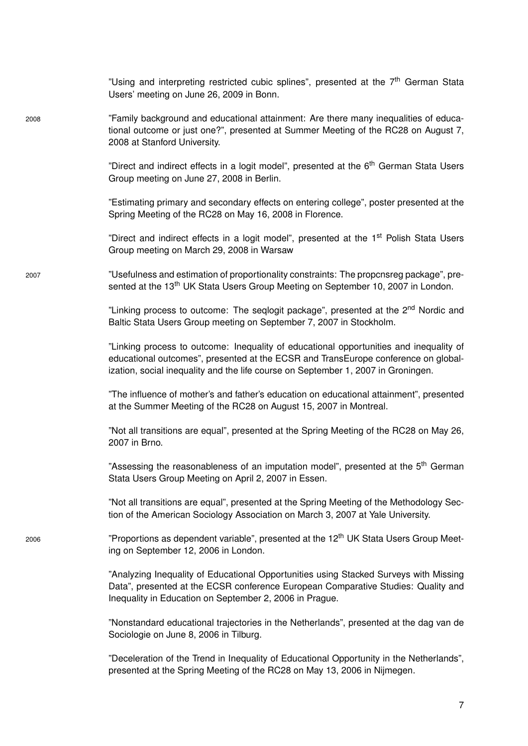"Using and interpreting restricted cubic splines", presented at the 7<sup>th</sup> German Stata Users' meeting on June 26, 2009 in Bonn.

2008 "Family background and educational attainment: Are there many inequalities of educational outcome or just one?", presented at Summer Meeting of the RC28 on August 7, 2008 at Stanford University.

> "Direct and indirect effects in a logit model", presented at the 6<sup>th</sup> German Stata Users Group meeting on June 27, 2008 in Berlin.

> "Estimating primary and secondary effects on entering college", poster presented at the Spring Meeting of the RC28 on May 16, 2008 in Florence.

> "Direct and indirect effects in a logit model", presented at the 1<sup>st</sup> Polish Stata Users Group meeting on March 29, 2008 in Warsaw

2007 "Usefulness and estimation of proportionality constraints: The propcnsreg package", presented at the 13<sup>th</sup> UK Stata Users Group Meeting on September 10, 2007 in London.

> "Linking process to outcome: The seglogit package", presented at the 2<sup>nd</sup> Nordic and Baltic Stata Users Group meeting on September 7, 2007 in Stockholm.

> "Linking process to outcome: Inequality of educational opportunities and inequality of educational outcomes", presented at the ECSR and TransEurope conference on globalization, social inequality and the life course on September 1, 2007 in Groningen.

> "The influence of mother's and father's education on educational attainment", presented at the Summer Meeting of the RC28 on August 15, 2007 in Montreal.

> "Not all transitions are equal", presented at the Spring Meeting of the RC28 on May 26, 2007 in Brno.

> "Assessing the reasonableness of an imputation model", presented at the 5<sup>th</sup> German Stata Users Group Meeting on April 2, 2007 in Essen.

> "Not all transitions are equal", presented at the Spring Meeting of the Methodology Section of the American Sociology Association on March 3, 2007 at Yale University.

 $2006$  "Proportions as dependent variable", presented at the 12<sup>th</sup> UK Stata Users Group Meeting on September 12, 2006 in London.

> "Analyzing Inequality of Educational Opportunities using Stacked Surveys with Missing Data", presented at the ECSR conference European Comparative Studies: Quality and Inequality in Education on September 2, 2006 in Prague.

> "Nonstandard educational trajectories in the Netherlands", presented at the dag van de Sociologie on June 8, 2006 in Tilburg.

> "Deceleration of the Trend in Inequality of Educational Opportunity in the Netherlands", presented at the Spring Meeting of the RC28 on May 13, 2006 in Nijmegen.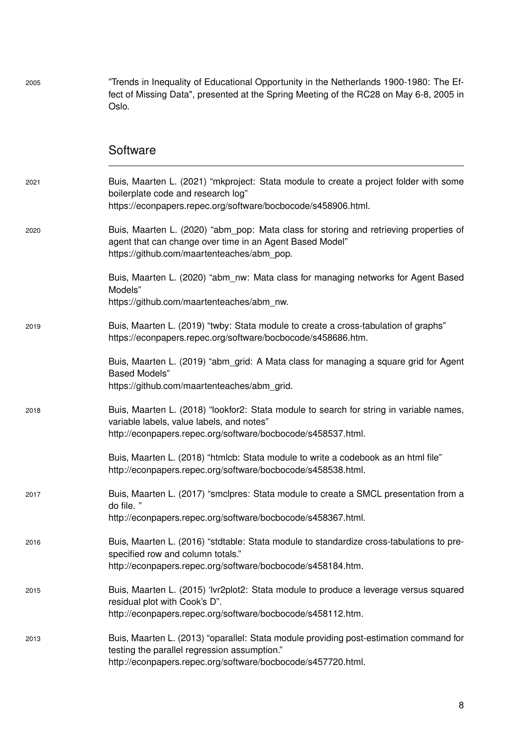fect of Missing Data", presented at the Spring Meeting of the RC28 on May 6-8, 2005 in Oslo. **Software** 2021 Buis, Maarten L. (2021) "mkproject: Stata module to create a project folder with some boilerplate code and research log" https://econpapers.repec.org/software/bocbocode/s458906.html. 2020 Buis, Maarten L. (2020) "abm\_pop: Mata class for storing and retrieving properties of agent that can change over time in an Agent Based Model" https://github.com/maartenteaches/abm\_pop. Buis, Maarten L. (2020) "abm\_nw: Mata class for managing networks for Agent Based Models" https://github.com/maartenteaches/abm\_nw. 2019 Buis, Maarten L. (2019) "twby: Stata module to create a cross-tabulation of graphs" https://econpapers.repec.org/software/bocbocode/s458686.htm. Buis, Maarten L. (2019) "abm\_grid: A Mata class for managing a square grid for Agent Based Models" https://github.com/maartenteaches/abm\_grid. 2018 Buis, Maarten L. (2018) "lookfor2: Stata module to search for string in variable names, variable labels, value labels, and notes" http://econpapers.repec.org/software/bocbocode/s458537.html. Buis, Maarten L. (2018) "htmlcb: Stata module to write a codebook as an html file"

2005 "Trends in Inequality of Educational Opportunity in the Netherlands 1900-1980: The Ef-

2017 Buis, Maarten L. (2017) "smclpres: Stata module to create a SMCL presentation from a do file. " http://econpapers.repec.org/software/bocbocode/s458367.html. 2016 Buis, Maarten L. (2016) "stdtable: Stata module to standardize cross-tabulations to prespecified row and column totals." http://econpapers.repec.org/software/bocbocode/s458184.htm. 2015 Buis, Maarten L. (2015) 'lvr2plot2: Stata module to produce a leverage versus squared residual plot with Cook's D". http://econpapers.repec.org/software/bocbocode/s458112.htm.

http://econpapers.repec.org/software/bocbocode/s458538.html.

2013 Buis, Maarten L. (2013) "oparallel: Stata module providing post-estimation command for testing the parallel regression assumption." http://econpapers.repec.org/software/bocbocode/s457720.html.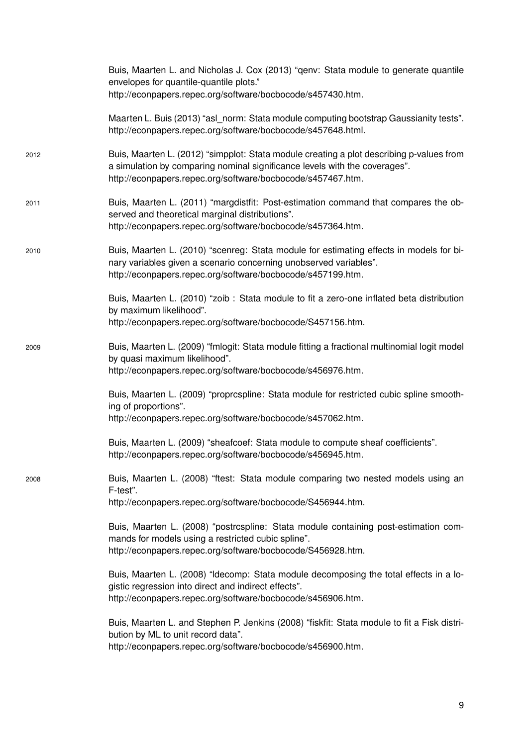|      | Buis, Maarten L. and Nicholas J. Cox (2013) "genv: Stata module to generate quantile<br>envelopes for quantile-quantile plots."<br>http://econpapers.repec.org/software/bocbocode/s457430.htm.                                        |
|------|---------------------------------------------------------------------------------------------------------------------------------------------------------------------------------------------------------------------------------------|
|      | Maarten L. Buis (2013) "asl_norm: Stata module computing bootstrap Gaussianity tests".<br>http://econpapers.repec.org/software/bocbocode/s457648.html.                                                                                |
| 2012 | Buis, Maarten L. (2012) "simpplot: Stata module creating a plot describing p-values from<br>a simulation by comparing nominal significance levels with the coverages".<br>http://econpapers.repec.org/software/bocbocode/s457467.htm. |
| 2011 | Buis, Maarten L. (2011) "margdistfit: Post-estimation command that compares the ob-<br>served and theoretical marginal distributions".<br>http://econpapers.repec.org/software/bocbocode/s457364.htm.                                 |
| 2010 | Buis, Maarten L. (2010) "scenreg: Stata module for estimating effects in models for bi-<br>nary variables given a scenario concerning unobserved variables".<br>http://econpapers.repec.org/software/bocbocode/s457199.htm.           |
|      | Buis, Maarten L. (2010) "zoib: Stata module to fit a zero-one inflated beta distribution<br>by maximum likelihood".<br>http://econpapers.repec.org/software/bocbocode/S457156.htm.                                                    |
| 2009 | Buis, Maarten L. (2009) "fmlogit: Stata module fitting a fractional multinomial logit model<br>by quasi maximum likelihood".<br>http://econpapers.repec.org/software/bocbocode/s456976.htm.                                           |
|      | Buis, Maarten L. (2009) "proprcspline: Stata module for restricted cubic spline smooth-<br>ing of proportions".<br>http://econpapers.repec.org/software/bocbocode/s457062.htm.                                                        |
|      | Buis, Maarten L. (2009) "sheafcoef: Stata module to compute sheaf coefficients".<br>http://econpapers.repec.org/software/bocbocode/s456945.htm.                                                                                       |
| 2008 | Buis, Maarten L. (2008) "ftest: Stata module comparing two nested models using an<br>F-test".<br>http://econpapers.repec.org/software/bocbocode/S456944.htm.                                                                          |
|      | Buis, Maarten L. (2008) "postrcspline: Stata module containing post-estimation com-<br>mands for models using a restricted cubic spline".<br>http://econpapers.repec.org/software/bocbocode/S456928.htm.                              |
|      | Buis, Maarten L. (2008) "Idecomp: Stata module decomposing the total effects in a lo-<br>gistic regression into direct and indirect effects".<br>http://econpapers.repec.org/software/bocbocode/s456906.htm.                          |
|      | Buis, Maarten L. and Stephen P. Jenkins (2008) "fiskfit: Stata module to fit a Fisk distri-<br>bution by ML to unit record data".<br>http://econpapers.repec.org/software/bocbocode/s456900.htm.                                      |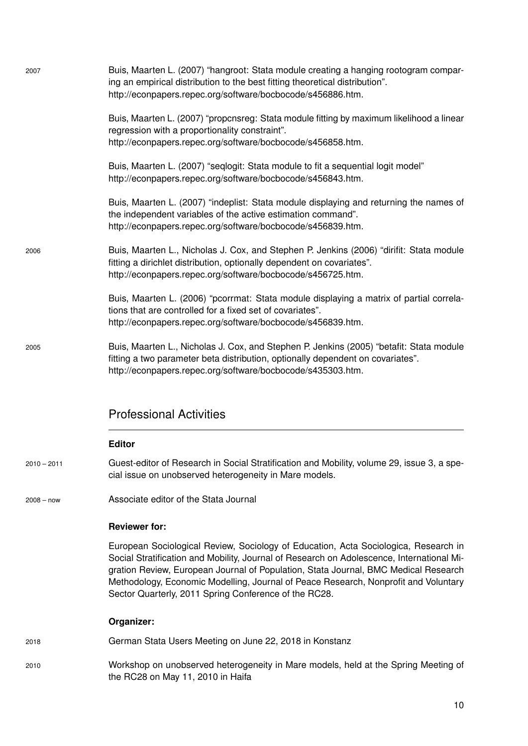| 2007          | Buis, Maarten L. (2007) "hangroot: Stata module creating a hanging rootogram compar-<br>ing an empirical distribution to the best fitting theoretical distribution".<br>http://econpapers.repec.org/software/bocbocode/s456886.htm.                                                                                                                                                                                     |
|---------------|-------------------------------------------------------------------------------------------------------------------------------------------------------------------------------------------------------------------------------------------------------------------------------------------------------------------------------------------------------------------------------------------------------------------------|
|               | Buis, Maarten L. (2007) "propcnsreg: Stata module fitting by maximum likelihood a linear<br>regression with a proportionality constraint".<br>http://econpapers.repec.org/software/bocbocode/s456858.htm.                                                                                                                                                                                                               |
|               | Buis, Maarten L. (2007) "seqlogit: Stata module to fit a sequential logit model"<br>http://econpapers.repec.org/software/bocbocode/s456843.htm.                                                                                                                                                                                                                                                                         |
|               | Buis, Maarten L. (2007) "indeplist: Stata module displaying and returning the names of<br>the independent variables of the active estimation command".<br>http://econpapers.repec.org/software/bocbocode/s456839.htm.                                                                                                                                                                                                   |
| 2006          | Buis, Maarten L., Nicholas J. Cox, and Stephen P. Jenkins (2006) "dirifit: Stata module<br>fitting a dirichlet distribution, optionally dependent on covariates".<br>http://econpapers.repec.org/software/bocbocode/s456725.htm.                                                                                                                                                                                        |
|               | Buis, Maarten L. (2006) "pcorrmat: Stata module displaying a matrix of partial correla-<br>tions that are controlled for a fixed set of covariates".<br>http://econpapers.repec.org/software/bocbocode/s456839.htm.                                                                                                                                                                                                     |
| 2005          | Buis, Maarten L., Nicholas J. Cox, and Stephen P. Jenkins (2005) "betafit: Stata module<br>fitting a two parameter beta distribution, optionally dependent on covariates".<br>http://econpapers.repec.org/software/bocbocode/s435303.htm.                                                                                                                                                                               |
|               | <b>Professional Activities</b>                                                                                                                                                                                                                                                                                                                                                                                          |
|               | <b>Editor</b>                                                                                                                                                                                                                                                                                                                                                                                                           |
| $2010 - 2011$ | Guest-editor of Research in Social Stratification and Mobility, volume 29, issue 3, a spe-<br>cial issue on unobserved heterogeneity in Mare models.                                                                                                                                                                                                                                                                    |
| $2008 - now$  | Associate editor of the Stata Journal                                                                                                                                                                                                                                                                                                                                                                                   |
|               | <b>Reviewer for:</b>                                                                                                                                                                                                                                                                                                                                                                                                    |
|               | European Sociological Review, Sociology of Education, Acta Sociologica, Research in<br>Social Stratification and Mobility, Journal of Research on Adolescence, International Mi-<br>gration Review, European Journal of Population, Stata Journal, BMC Medical Research<br>Methodology, Economic Modelling, Journal of Peace Research, Nonprofit and Voluntary<br>Sector Quarterly, 2011 Spring Conference of the RC28. |
|               | Organizer:                                                                                                                                                                                                                                                                                                                                                                                                              |
| 2018          | German Stata Users Meeting on June 22, 2018 in Konstanz                                                                                                                                                                                                                                                                                                                                                                 |
| 2010          | Workshop on unobserved heterogeneity in Mare models, held at the Spring Meeting of<br>the RC28 on May 11, 2010 in Haifa                                                                                                                                                                                                                                                                                                 |